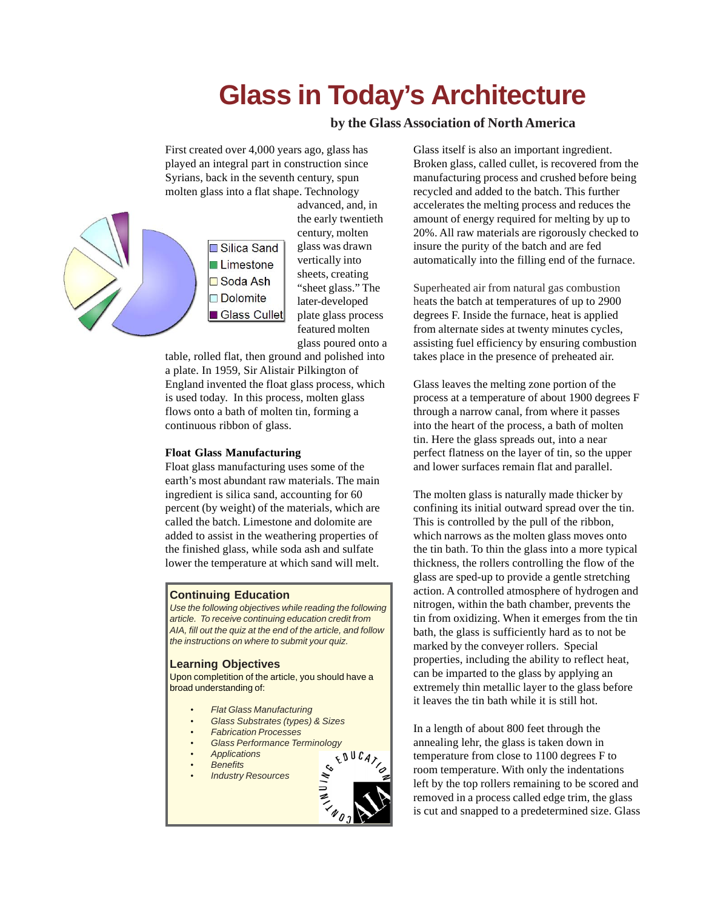# **Glass in Today's Architecture**

**by the Glass Association of North America**

First created over 4,000 years ago, glass has played an integral part in construction since Syrians, back in the seventh century, spun molten glass into a flat shape. Technology



advanced, and, in the early twentieth century, molten glass was drawn vertically into sheets, creating "sheet glass." The later-developed plate glass process featured molten glass poured onto a

table, rolled flat, then ground and polished into a plate. In 1959, Sir Alistair Pilkington of England invented the float glass process, which is used today. In this process, molten glass flows onto a bath of molten tin, forming a continuous ribbon of glass.

# **Float Glass Manufacturing**

Float glass manufacturing uses some of the earth's most abundant raw materials. The main ingredient is silica sand, accounting for 60 percent (by weight) of the materials, which are called the batch. Limestone and dolomite are added to assist in the weathering properties of the finished glass, while soda ash and sulfate lower the temperature at which sand will melt.

# **Continuing Education**

*Use the following objectives while reading the following article. To receive continuing education credit from AIA, fill out the quiz at the end of the article, and follow the instructions on where to submit your quiz.*

#### **Learning Objectives**

Upon completition of the article, you should have a broad understanding of:

- *• Flat Glass Manufacturing*
- *• Glass Substrates (types) & Sizes*
- *• Fabrication Processes*
- *Glass Performance Terminology*<br>*4**Applications***<br><b>4** *Applications*
- *• Applications*
- *• Benefits*
- *• Industry Resources*



Glass itself is also an important ingredient. Broken glass, called cullet, is recovered from the manufacturing process and crushed before being recycled and added to the batch. This further accelerates the melting process and reduces the amount of energy required for melting by up to 20%. All raw materials are rigorously checked to insure the purity of the batch and are fed automatically into the filling end of the furnace.

Superheated air from natural gas combustion heats the batch at temperatures of up to 2900 degrees F. Inside the furnace, heat is applied from alternate sides at twenty minutes cycles, assisting fuel efficiency by ensuring combustion takes place in the presence of preheated air.

Glass leaves the melting zone portion of the process at a temperature of about 1900 degrees F through a narrow canal, from where it passes into the heart of the process, a bath of molten tin. Here the glass spreads out, into a near perfect flatness on the layer of tin, so the upper and lower surfaces remain flat and parallel.

The molten glass is naturally made thicker by confining its initial outward spread over the tin. This is controlled by the pull of the ribbon, which narrows as the molten glass moves onto the tin bath. To thin the glass into a more typical thickness, the rollers controlling the flow of the glass are sped-up to provide a gentle stretching action. A controlled atmosphere of hydrogen and nitrogen, within the bath chamber, prevents the tin from oxidizing. When it emerges from the tin bath, the glass is sufficiently hard as to not be marked by the conveyer rollers. Special properties, including the ability to reflect heat, can be imparted to the glass by applying an extremely thin metallic layer to the glass before it leaves the tin bath while it is still hot.

In a length of about 800 feet through the annealing lehr, the glass is taken down in temperature from close to 1100 degrees F to room temperature. With only the indentations left by the top rollers remaining to be scored and removed in a process called edge trim, the glass is cut and snapped to a predetermined size. Glass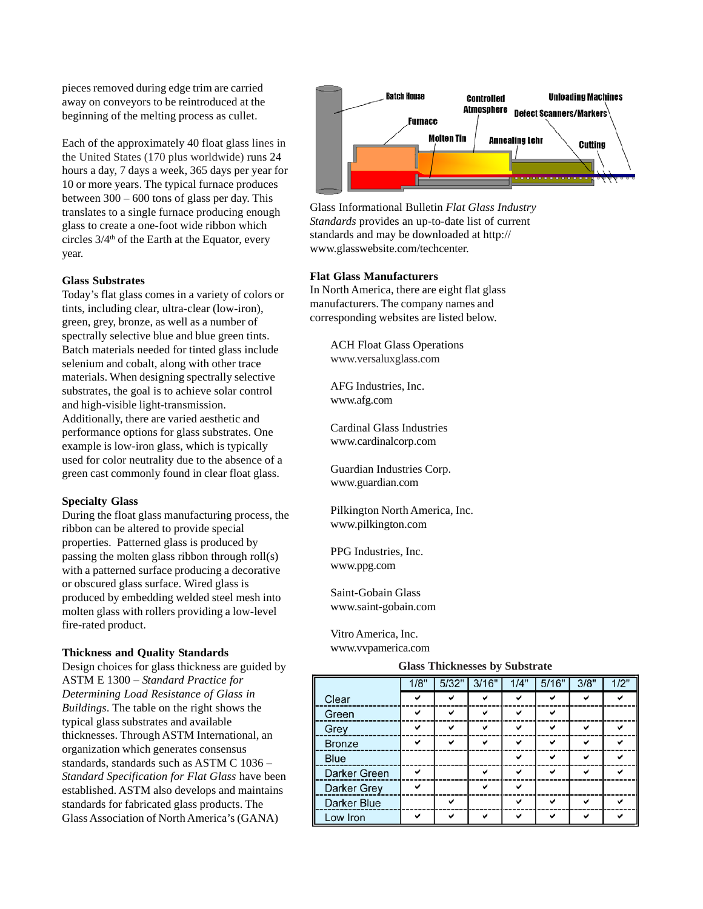pieces removed during edge trim are carried away on conveyors to be reintroduced at the beginning of the melting process as cullet.

Each of the approximately 40 float glass lines in the United States (170 plus worldwide) runs 24 hours a day, 7 days a week, 365 days per year for 10 or more years. The typical furnace produces between 300 – 600 tons of glass per day. This translates to a single furnace producing enough glass to create a one-foot wide ribbon which circles  $3/4<sup>th</sup>$  of the Earth at the Equator, every year.

## **Glass Substrates**

Today's flat glass comes in a variety of colors or tints, including clear, ultra-clear (low-iron), green, grey, bronze, as well as a number of spectrally selective blue and blue green tints. Batch materials needed for tinted glass include selenium and cobalt, along with other trace materials. When designing spectrally selective substrates, the goal is to achieve solar control and high-visible light-transmission. Additionally, there are varied aesthetic and performance options for glass substrates. One example is low-iron glass, which is typically used for color neutrality due to the absence of a green cast commonly found in clear float glass.

#### **Specialty Glass**

During the float glass manufacturing process, the ribbon can be altered to provide special properties. Patterned glass is produced by passing the molten glass ribbon through roll(s) with a patterned surface producing a decorative or obscured glass surface. Wired glass is produced by embedding welded steel mesh into molten glass with rollers providing a low-level fire-rated product.

## **Thickness and Quality Standards**

Design choices for glass thickness are guided by ASTM E 1300 – *Standard Practice for Determining Load Resistance of Glass in Buildings*. The table on the right shows the typical glass substrates and available thicknesses. Through ASTM International, an organization which generates consensus standards, standards such as ASTM C 1036 – *Standard Specification for Flat Glass* have been established. ASTM also develops and maintains standards for fabricated glass products. The Glass Association of North America's (GANA)



Glass Informational Bulletin *Flat Glass Industry Standards* provides an up-to-date list of current standards and may be downloaded at http:// www.glasswebsite.com/techcenter.

#### **Flat Glass Manufacturers**

In North America, there are eight flat glass manufacturers. The company names and corresponding websites are listed below.

> ACH Float Glass Operations www.versaluxglass.com

AFG Industries, Inc. www.afg.com

Cardinal Glass Industries www.cardinalcorp.com

Guardian Industries Corp. www.guardian.com

Pilkington North America, Inc. www.pilkington.com

PPG Industries, Inc. www.ppg.com

Saint-Gobain Glass www.saint-gobain.com

Vitro America, Inc. www.vvpamerica.com

#### **Glass Thicknesses by Substrate**

|               | 1/8" | 5/32" | 3/16" | 1/4" | 5/16" | 3/8" | 1/2" |
|---------------|------|-------|-------|------|-------|------|------|
| Clear         | ◡    |       | ✓     | ◡    | ✓     | ◡    | ✓    |
| Green         | ◡    | ◡     | ◡     | ◡    | ◡     |      |      |
| Grey          | ◡    | ◡     | ◡     | ◡    | ◡     | ◡    | ◡    |
| <b>Bronze</b> | ✓    | ◡     | ✓     | ✓    | ✓     | ◡    | ◡    |
| <b>Blue</b>   |      |       |       | ◡    | ◡     | ◡    | ✓    |
| Darker Green  | ◡    |       | ◡     | ◡    | ◡     | ✓    | ◡    |
| Darker Grey   | ✓    |       | ✓     | ◡    |       |      |      |
| Darker Blue   |      | ◡     |       | ◡    | ◡     | ◡    | v    |
| Low Iron      | ◡    | ◡     | ◡     | ◡    | ✓     | ✓    | ◡    |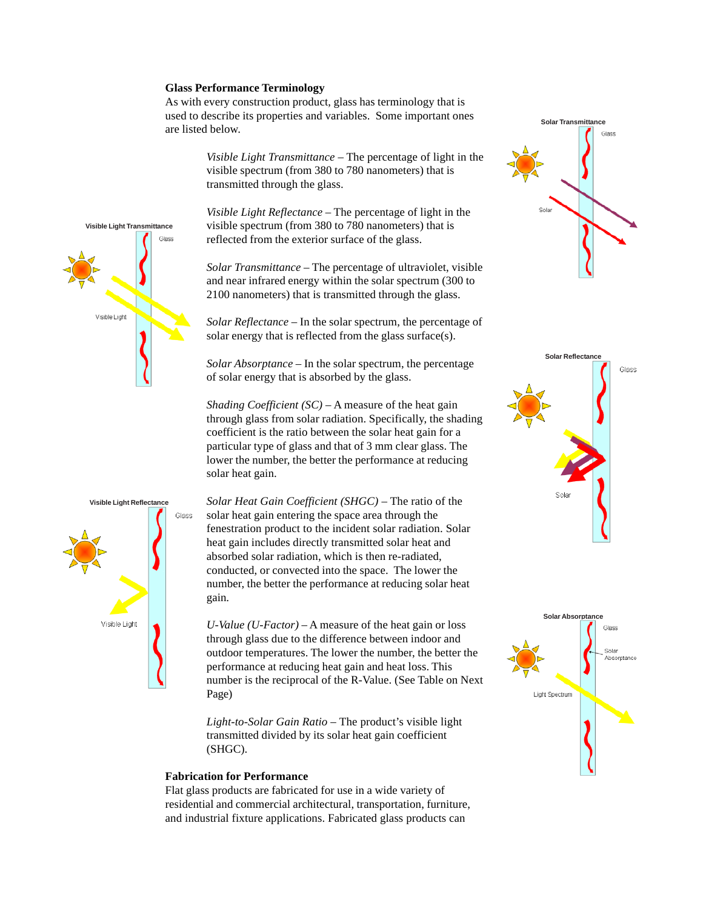#### **Glass Performance Terminology**

As with every construction product, glass has terminology that is used to describe its properties and variables. Some important ones are listed below.

> *Visible Light Transmittance* – The percentage of light in the visible spectrum (from 380 to 780 nanometers) that is transmitted through the glass.

*Visible Light Reflectance* – The percentage of light in the visible spectrum (from 380 to 780 nanometers) that is reflected from the exterior surface of the glass.

*Solar Transmittance* – The percentage of ultraviolet, visible and near infrared energy within the solar spectrum (300 to 2100 nanometers) that is transmitted through the glass.

*Solar Reflectance* – In the solar spectrum, the percentage of solar energy that is reflected from the glass surface(s).

*Solar Absorptance* – In the solar spectrum, the percentage of solar energy that is absorbed by the glass.

*Shading Coefficient (SC)* – A measure of the heat gain through glass from solar radiation. Specifically, the shading coefficient is the ratio between the solar heat gain for a particular type of glass and that of 3 mm clear glass. The lower the number, the better the performance at reducing solar heat gain.



*U-Value (U-Factor)* – A measure of the heat gain or loss through glass due to the difference between indoor and outdoor temperatures. The lower the number, the better the performance at reducing heat gain and heat loss. This number is the reciprocal of the R-Value. (See Table on Next Page)

*Light-to-Solar Gain Ratio* – The product's visible light transmitted divided by its solar heat gain coefficient (SHGC).

# **Fabrication for Performance**

Flat glass products are fabricated for use in a wide variety of residential and commercial architectural, transportation, furniture, and industrial fixture applications. Fabricated glass products can









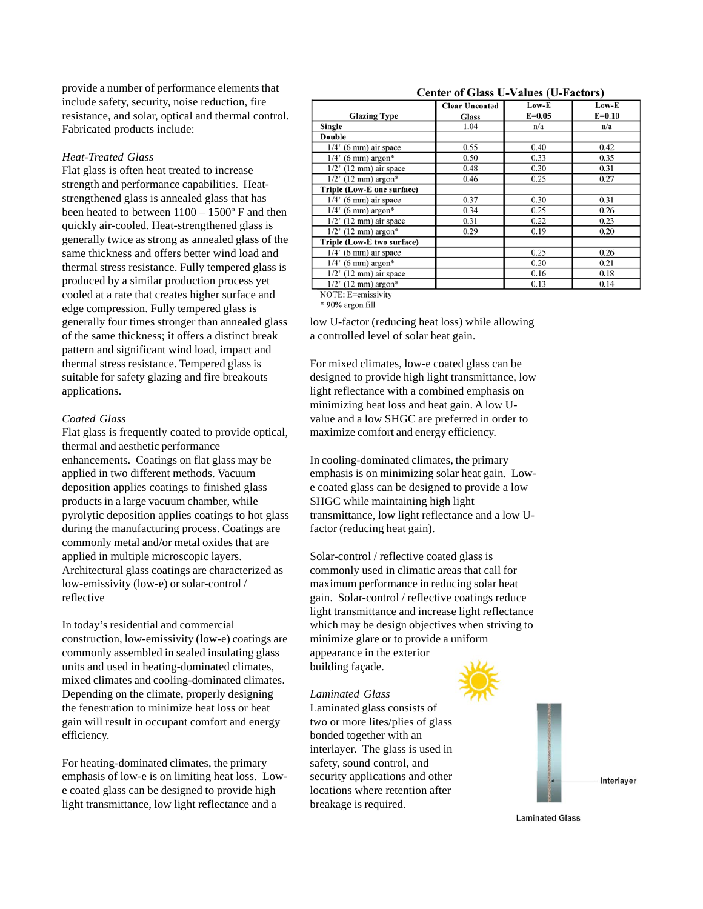provide a number of performance elements that include safety, security, noise reduction, fire resistance, and solar, optical and thermal control. Fabricated products include:

# *Heat-Treated Glass*

Flat glass is often heat treated to increase strength and performance capabilities. Heatstrengthened glass is annealed glass that has been heated to between 1100 – 1500º F and then quickly air-cooled. Heat-strengthened glass is generally twice as strong as annealed glass of the same thickness and offers better wind load and thermal stress resistance. Fully tempered glass is produced by a similar production process yet cooled at a rate that creates higher surface and edge compression. Fully tempered glass is generally four times stronger than annealed glass of the same thickness; it offers a distinct break pattern and significant wind load, impact and thermal stress resistance. Tempered glass is suitable for safety glazing and fire breakouts applications.

# *Coated Glass*

Flat glass is frequently coated to provide optical, thermal and aesthetic performance enhancements. Coatings on flat glass may be applied in two different methods. Vacuum deposition applies coatings to finished glass products in a large vacuum chamber, while pyrolytic deposition applies coatings to hot glass during the manufacturing process. Coatings are commonly metal and/or metal oxides that are applied in multiple microscopic layers. Architectural glass coatings are characterized as low-emissivity (low-e) or solar-control / reflective

In today's residential and commercial construction, low-emissivity (low-e) coatings are commonly assembled in sealed insulating glass units and used in heating-dominated climates, mixed climates and cooling-dominated climates. Depending on the climate, properly designing the fenestration to minimize heat loss or heat gain will result in occupant comfort and energy efficiency.

For heating-dominated climates, the primary emphasis of low-e is on limiting heat loss. Lowe coated glass can be designed to provide high light transmittance, low light reflectance and a

| Center of Grass $C^{\perp}$ cancel ( $C^{\perp}$ actors) |                       |            |          |  |  |  |  |
|----------------------------------------------------------|-----------------------|------------|----------|--|--|--|--|
|                                                          | <b>Clear Uncoated</b> | Low-E      | Low-E    |  |  |  |  |
| <b>Glazing Type</b>                                      | <b>Glass</b>          | $E = 0.05$ | $E=0.10$ |  |  |  |  |
| Single                                                   | 1.04                  | n/a        | n/a      |  |  |  |  |
| <b>Double</b>                                            |                       |            |          |  |  |  |  |
| $1/4$ " (6 mm) air space                                 | 0.55                  | 0.40       | 0.42     |  |  |  |  |
| $1/4$ " (6 mm) argon*                                    | 0.50                  | 0.33       | 0.35     |  |  |  |  |
| $1/2$ " (12 mm) air space                                | 0.48                  | 0.30       | 0.31     |  |  |  |  |
| $1/2$ " (12 mm) argon*                                   | 0.46                  | 0.25       | 0.27     |  |  |  |  |
| Triple (Low-E one surface)                               |                       |            |          |  |  |  |  |
| $1/4$ " (6 mm) air space                                 | 0.37                  | 0.30       | 0.31     |  |  |  |  |
| $1/4$ " (6 mm) argon*                                    | 0.34                  | 0.25       | 0.26     |  |  |  |  |
| $1/2$ " (12 mm) air space                                | 0.31                  | 0.22       | 0.23     |  |  |  |  |
| $1/2$ " (12 mm) argon*                                   | 0.29                  | 0.19       | 0.20     |  |  |  |  |
| Triple (Low-E two surface)                               |                       |            |          |  |  |  |  |
| $1/4"$ (6 mm) air space                                  |                       | 0.25       | 0.26     |  |  |  |  |
| $1/4$ " (6 mm) argon*                                    |                       | 0.20       | 0.21     |  |  |  |  |
| $1/2$ " (12 mm) air space                                |                       | 0.16       | 0.18     |  |  |  |  |
| $1/2$ " (12 mm) argon*                                   |                       | 0.13       | 0.14     |  |  |  |  |

NOTE: E=emissivity \* 90% argon fill

low U-factor (reducing heat loss) while allowing a controlled level of solar heat gain.

For mixed climates, low-e coated glass can be designed to provide high light transmittance, low light reflectance with a combined emphasis on minimizing heat loss and heat gain. A low Uvalue and a low SHGC are preferred in order to maximize comfort and energy efficiency.

In cooling-dominated climates, the primary emphasis is on minimizing solar heat gain. Lowe coated glass can be designed to provide a low SHGC while maintaining high light transmittance, low light reflectance and a low Ufactor (reducing heat gain).

Solar-control / reflective coated glass is commonly used in climatic areas that call for maximum performance in reducing solar heat gain. Solar-control / reflective coatings reduce light transmittance and increase light reflectance which may be design objectives when striving to minimize glare or to provide a uniform appearance in the exterior building façade.

## *Laminated Glass*

Laminated glass consists of two or more lites/plies of glass bonded together with an interlayer. The glass is used in safety, sound control, and security applications and other locations where retention after breakage is required.





#### Center of Glass II-Values (II-Factors)

**Laminated Glass**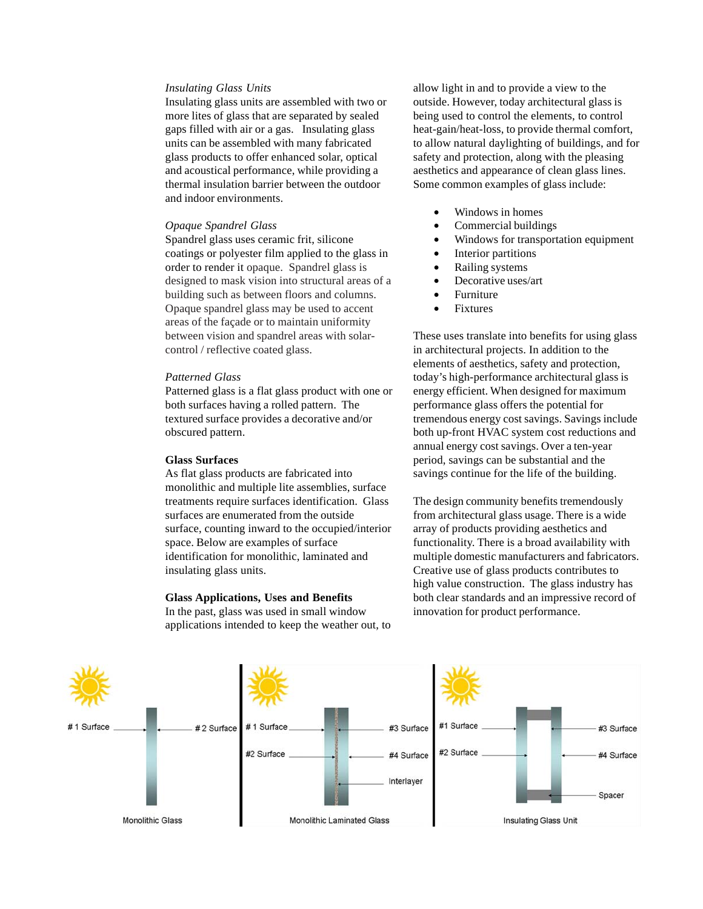#### *Insulating Glass Units*

Insulating glass units are assembled with two or more lites of glass that are separated by sealed gaps filled with air or a gas. Insulating glass units can be assembled with many fabricated glass products to offer enhanced solar, optical and acoustical performance, while providing a thermal insulation barrier between the outdoor and indoor environments.

# *Opaque Spandrel Glass*

Spandrel glass uses ceramic frit, silicone coatings or polyester film applied to the glass in order to render it opaque. Spandrel glass is designed to mask vision into structural areas of a building such as between floors and columns. Opaque spandrel glass may be used to accent areas of the façade or to maintain uniformity between vision and spandrel areas with solarcontrol / reflective coated glass.

# *Patterned Glass*

Patterned glass is a flat glass product with one or both surfaces having a rolled pattern. The textured surface provides a decorative and/or obscured pattern.

#### **Glass Surfaces**

As flat glass products are fabricated into monolithic and multiple lite assemblies, surface treatments require surfaces identification. Glass surfaces are enumerated from the outside surface, counting inward to the occupied/interior space. Below are examples of surface identification for monolithic, laminated and insulating glass units.

#### **Glass Applications, Uses and Benefits**

In the past, glass was used in small window applications intended to keep the weather out, to allow light in and to provide a view to the outside. However, today architectural glass is being used to control the elements, to control heat-gain/heat-loss, to provide thermal comfort, to allow natural daylighting of buildings, and for safety and protection, along with the pleasing aesthetics and appearance of clean glass lines. Some common examples of glass include:

- Windows in homes
- Commercial buildings
- Windows for transportation equipment
- Interior partitions
- Railing systems
- Decorative uses/art
- **Furniture**
- **Fixtures**

These uses translate into benefits for using glass in architectural projects. In addition to the elements of aesthetics, safety and protection, today's high-performance architectural glass is energy efficient. When designed for maximum performance glass offers the potential for tremendous energy cost savings. Savings include both up-front HVAC system cost reductions and annual energy cost savings. Over a ten-year period, savings can be substantial and the savings continue for the life of the building.

The design community benefits tremendously from architectural glass usage. There is a wide array of products providing aesthetics and functionality. There is a broad availability with multiple domestic manufacturers and fabricators. Creative use of glass products contributes to high value construction. The glass industry has both clear standards and an impressive record of innovation for product performance.